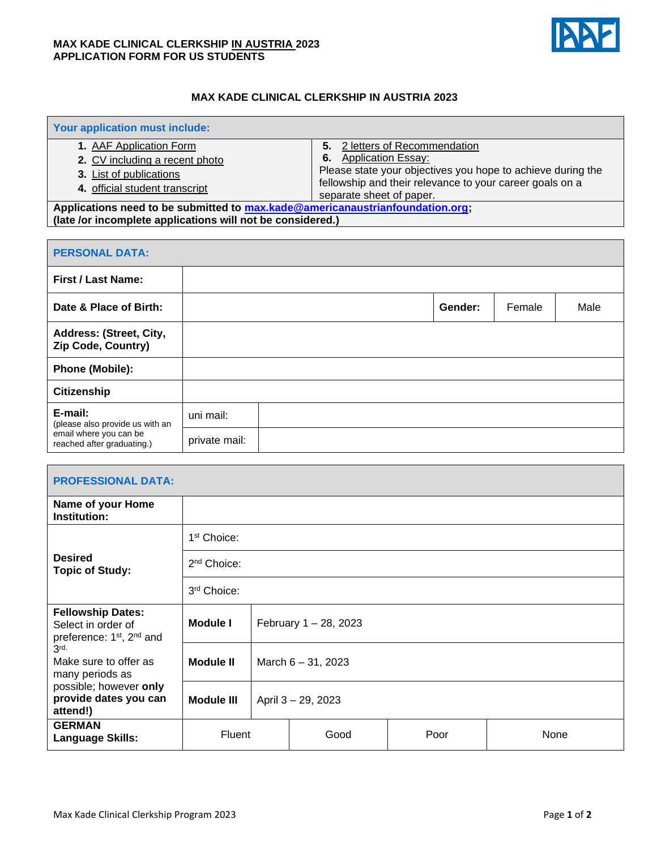## **MAX KADE CLINICAL CLERKSHIP IN AUSTRIA 2023 APPLICATION FORM FOR US STUDENTS**



٦

## **MAX KADE CLINICAL CLERKSHIP IN AUSTRIA 2023**

| Your application must include:                                                |                                                             |  |  |  |  |
|-------------------------------------------------------------------------------|-------------------------------------------------------------|--|--|--|--|
| 1. AAF Application Form                                                       | 2 letters of Recommendation<br>5.                           |  |  |  |  |
| 2. CV including a recent photo                                                | <b>Application Essay:</b><br>6.                             |  |  |  |  |
| <b>3.</b> List of publications                                                | Please state your objectives you hope to achieve during the |  |  |  |  |
| 4. official student transcript                                                | fellowship and their relevance to your career goals on a    |  |  |  |  |
|                                                                               | separate sheet of paper.                                    |  |  |  |  |
| Applications need to be submitted to max.kade@americanaustrianfoundation.org; |                                                             |  |  |  |  |
| (late /or incomplete applications will not be considered.)                    |                                                             |  |  |  |  |

| <b>PERSONAL DATA:</b>                                                                              |               |  |         |        |      |  |  |
|----------------------------------------------------------------------------------------------------|---------------|--|---------|--------|------|--|--|
| <b>First / Last Name:</b>                                                                          |               |  |         |        |      |  |  |
| Date & Place of Birth:                                                                             |               |  | Gender: | Female | Male |  |  |
| Address: (Street, City,<br>Zip Code, Country)                                                      |               |  |         |        |      |  |  |
| <b>Phone (Mobile):</b>                                                                             |               |  |         |        |      |  |  |
| Citizenship                                                                                        |               |  |         |        |      |  |  |
| E-mail:<br>(please also provide us with an<br>email where you can be<br>reached after graduating.) | uni mail:     |  |         |        |      |  |  |
|                                                                                                    | private mail: |  |         |        |      |  |  |

| <b>PROFESSIONAL DATA:</b>                                                                           |                         |                       |      |      |      |  |
|-----------------------------------------------------------------------------------------------------|-------------------------|-----------------------|------|------|------|--|
| Name of your Home<br>Institution:                                                                   |                         |                       |      |      |      |  |
|                                                                                                     | 1 <sup>st</sup> Choice: |                       |      |      |      |  |
| <b>Desired</b><br><b>Topic of Study:</b>                                                            | 2 <sup>nd</sup> Choice: |                       |      |      |      |  |
|                                                                                                     | 3rd Choice:             |                       |      |      |      |  |
| <b>Fellowship Dates:</b><br>Select in order of<br>preference: 1 <sup>st</sup> , 2 <sup>nd</sup> and | <b>Module I</b>         | February 1 - 28, 2023 |      |      |      |  |
| 3rd.<br>Make sure to offer as<br>many periods as                                                    | Module II               | March $6 - 31$ , 2023 |      |      |      |  |
| possible; however only<br>provide dates you can<br>attend!)                                         | Module III              | April 3 - 29, 2023    |      |      |      |  |
| <b>GERMAN</b><br><b>Language Skills:</b>                                                            | Fluent                  |                       | Good | Poor | None |  |